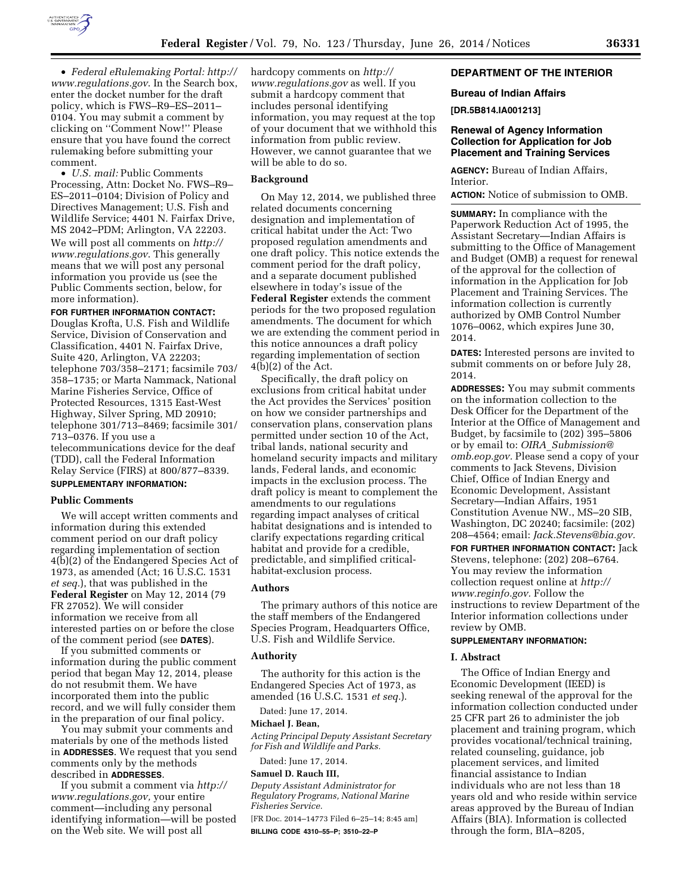

• *Federal eRulemaking Portal: [http://](http://www.regulations.gov)  [www.regulations.gov](http://www.regulations.gov)*. In the Search box, enter the docket number for the draft policy, which is FWS–R9–ES–2011– 0104. You may submit a comment by clicking on ''Comment Now!'' Please ensure that you have found the correct rulemaking before submitting your comment.

• *U.S. mail:* Public Comments Processing, Attn: Docket No. FWS–R9– ES–2011–0104; Division of Policy and Directives Management; U.S. Fish and Wildlife Service; 4401 N. Fairfax Drive, MS 2042–PDM; Arlington, VA 22203. We will post all comments on *[http://](http://www.regulations.gov) [www.regulations.gov](http://www.regulations.gov)*. This generally means that we will post any personal information you provide us (see the Public Comments section, below, for more information).

#### **FOR FURTHER INFORMATION CONTACT:**

Douglas Krofta, U.S. Fish and Wildlife Service, Division of Conservation and Classification, 4401 N. Fairfax Drive, Suite 420, Arlington, VA 22203; telephone 703/358–2171; facsimile 703/ 358–1735; or Marta Nammack, National Marine Fisheries Service, Office of Protected Resources, 1315 East-West Highway, Silver Spring, MD 20910; telephone 301/713–8469; facsimile 301/ 713–0376. If you use a telecommunications device for the deaf (TDD), call the Federal Information Relay Service (FIRS) at 800/877–8339. **SUPPLEMENTARY INFORMATION:** 

#### **Public Comments**

We will accept written comments and information during this extended comment period on our draft policy regarding implementation of section 4(b)(2) of the Endangered Species Act of 1973, as amended (Act; 16 U.S.C. 1531 *et seq.*), that was published in the **Federal Register** on May 12, 2014 (79 FR 27052). We will consider information we receive from all interested parties on or before the close of the comment period (see **DATES**).

If you submitted comments or information during the public comment period that began May 12, 2014, please do not resubmit them. We have incorporated them into the public record, and we will fully consider them in the preparation of our final policy.

You may submit your comments and materials by one of the methods listed in **ADDRESSES**. We request that you send comments only by the methods described in **ADDRESSES**.

If you submit a comment via *[http://](http://www.regulations.gov) [www.regulations.gov,](http://www.regulations.gov)* your entire comment—including any personal identifying information—will be posted on the Web site. We will post all

hardcopy comments on *[http://](http://www.regulations.gov) [www.regulations.gov](http://www.regulations.gov)* as well. If you submit a hardcopy comment that includes personal identifying information, you may request at the top of your document that we withhold this information from public review. However, we cannot guarantee that we will be able to do so.

# **Background**

On May 12, 2014, we published three related documents concerning designation and implementation of critical habitat under the Act: Two proposed regulation amendments and one draft policy. This notice extends the comment period for the draft policy, and a separate document published elsewhere in today's issue of the **Federal Register** extends the comment periods for the two proposed regulation amendments. The document for which we are extending the comment period in this notice announces a draft policy regarding implementation of section  $4(b)(2)$  of the Act.

Specifically, the draft policy on exclusions from critical habitat under the Act provides the Services' position on how we consider partnerships and conservation plans, conservation plans permitted under section 10 of the Act, tribal lands, national security and homeland security impacts and military lands, Federal lands, and economic impacts in the exclusion process. The draft policy is meant to complement the amendments to our regulations regarding impact analyses of critical habitat designations and is intended to clarify expectations regarding critical habitat and provide for a credible, predictable, and simplified criticalhabitat-exclusion process.

### **Authors**

The primary authors of this notice are the staff members of the Endangered Species Program, Headquarters Office, U.S. Fish and Wildlife Service.

### **Authority**

The authority for this action is the Endangered Species Act of 1973, as amended (16 U.S.C. 1531 *et seq.*).

Dated: June 17, 2014.

# **Michael J. Bean,**

*Acting Principal Deputy Assistant Secretary for Fish and Wildlife and Parks.* 

Dated: June 17, 2014. **Samuel D. Rauch III,** 

*Deputy Assistant Administrator for Regulatory Programs, National Marine Fisheries Service.* 

[FR Doc. 2014–14773 Filed 6–25–14; 8:45 am] **BILLING CODE 4310–55–P; 3510–22–P** 

# **DEPARTMENT OF THE INTERIOR**

## **Bureau of Indian Affairs**

**[DR.5B814.IA001213]** 

# **Renewal of Agency Information Collection for Application for Job Placement and Training Services**

**AGENCY:** Bureau of Indian Affairs, Interior.

**ACTION:** Notice of submission to OMB.

**SUMMARY:** In compliance with the Paperwork Reduction Act of 1995, the Assistant Secretary—Indian Affairs is submitting to the Office of Management and Budget (OMB) a request for renewal of the approval for the collection of information in the Application for Job Placement and Training Services. The information collection is currently authorized by OMB Control Number 1076–0062, which expires June 30, 2014.

**DATES:** Interested persons are invited to submit comments on or before July 28, 2014.

**ADDRESSES:** You may submit comments on the information collection to the Desk Officer for the Department of the Interior at the Office of Management and Budget, by facsimile to (202) 395–5806 or by email to: *OIRA*\_*[Submission@](mailto:OIRA_Submission@omb.eop.gov) [omb.eop.gov.](mailto:OIRA_Submission@omb.eop.gov)* Please send a copy of your comments to Jack Stevens, Division Chief, Office of Indian Energy and Economic Development, Assistant Secretary—Indian Affairs, 1951 Constitution Avenue NW., MS–20 SIB, Washington, DC 20240; facsimile: (202) 208–4564; email: *[Jack.Stevens@bia.gov.](mailto:Jack.Stevens@bia.gov)* 

**FOR FURTHER INFORMATION CONTACT:** Jack Stevens, telephone: (202) 208–6764. You may review the information collection request online at *[http://](http://www.reginfo.gov) [www.reginfo.gov.](http://www.reginfo.gov)* Follow the instructions to review Department of the Interior information collections under review by OMB.

# **SUPPLEMENTARY INFORMATION:**

### **I. Abstract**

The Office of Indian Energy and Economic Development (IEED) is seeking renewal of the approval for the information collection conducted under 25 CFR part 26 to administer the job placement and training program, which provides vocational/technical training, related counseling, guidance, job placement services, and limited financial assistance to Indian individuals who are not less than 18 years old and who reside within service areas approved by the Bureau of Indian Affairs (BIA). Information is collected through the form, BIA–8205,